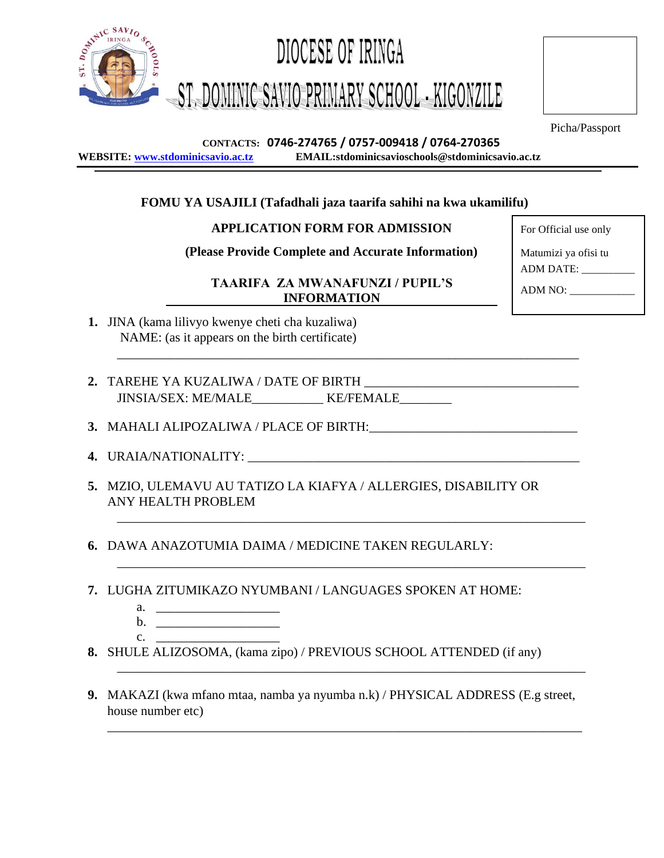

Picha/Passport

### **CONTACTS: 0746-274765 / 0757-009418 / 0764-270365 WEBSITE: [www.stdominicsavio.ac.tz](http://www.stdominicsavio.ac.tz/) EMAIL:stdominicsavioschools@stdominicsavio.ac.tz**

# **FOMU YA USAJILI (Tafadhali jaza taarifa sahihi na kwa ukamilifu)**

## **APPLICATION FORM FOR ADMISSION** For Official use only

**(Please Provide Complete and Accurate Information)** Matumizi ya ofisi tu

**TAARIFA ZA MWANAFUNZI / PUPIL'S INFORMATION** ADM NO:

\_\_\_\_\_\_\_\_\_\_\_\_\_\_\_\_\_\_\_\_\_\_\_\_\_\_\_\_\_\_\_\_\_\_\_\_\_\_\_\_\_\_\_\_\_\_\_\_\_\_\_\_\_\_\_\_\_\_\_\_\_\_\_\_\_\_\_\_\_\_\_

\_\_\_\_\_\_\_\_\_\_\_\_\_\_\_\_\_\_\_\_\_\_\_\_\_\_\_\_\_\_\_\_\_\_\_\_\_\_\_\_\_\_\_\_\_\_\_\_\_\_\_\_\_\_\_\_\_\_\_\_\_\_\_\_\_\_\_\_\_\_\_\_

\_\_\_\_\_\_\_\_\_\_\_\_\_\_\_\_\_\_\_\_\_\_\_\_\_\_\_\_\_\_\_\_\_\_\_\_\_\_\_\_\_\_\_\_\_\_\_\_\_\_\_\_\_\_\_\_\_\_\_\_\_\_\_\_\_\_\_\_\_\_\_\_

\_\_\_\_\_\_\_\_\_\_\_\_\_\_\_\_\_\_\_\_\_\_\_\_\_\_\_\_\_\_\_\_\_\_\_\_\_\_\_\_\_\_\_\_\_\_\_\_\_\_\_\_\_\_\_\_\_\_\_\_\_\_\_\_\_\_\_\_\_\_\_\_

- **1.** JINA (kama lilivyo kwenye cheti cha kuzaliwa) NAME: (as it appears on the birth certificate)
- 2. TAREHE YA KUZALIWA / DATE OF BIRTH JINSIA/SEX: ME/MALE\_\_\_\_\_\_\_\_\_\_\_ KE/FEMALE\_\_\_\_\_\_\_\_
- **3. MAHALI ALIPOZALIWA / PLACE OF BIRTH:**
- **4. URAIA/NATIONALITY:**
- **5.** MZIO, ULEMAVU AU TATIZO LA KIAFYA / ALLERGIES, DISABILITY OR ANY HEALTH PROBLEM
- **6.** DAWA ANAZOTUMIA DAIMA / MEDICINE TAKEN REGULARLY:
- **7.** LUGHA ZITUMIKAZO NYUMBANI / LANGUAGES SPOKEN AT HOME:
	- a.  $\overline{a}$ .
	- $\mathbf{b}$ .  $c.$   $\qquad \qquad$
- **8.** SHULE ALIZOSOMA, (kama zipo) / PREVIOUS SCHOOL ATTENDED (if any)
- **9.** MAKAZI (kwa mfano mtaa, namba ya nyumba n.k) / PHYSICAL ADDRESS (E.g street, house number etc)

\_\_\_\_\_\_\_\_\_\_\_\_\_\_\_\_\_\_\_\_\_\_\_\_\_\_\_\_\_\_\_\_\_\_\_\_\_\_\_\_\_\_\_\_\_\_\_\_\_\_\_\_\_\_\_\_\_\_\_\_\_\_\_\_\_\_\_\_\_\_\_\_\_

ADM DATE: \_\_\_\_\_\_\_\_\_\_